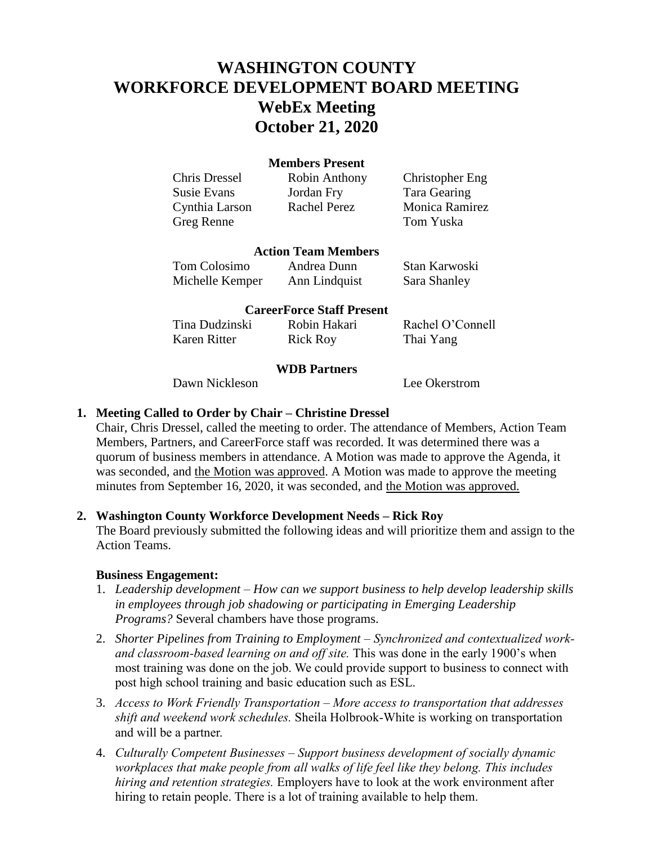# **WASHINGTON COUNTY WORKFORCE DEVELOPMENT BOARD MEETING WebEx Meeting October 21, 2020**

#### **Members Present**

Chris Dressel Robin Anthony Christopher Eng Susie Evans Jordan Fry Tara Gearing Cynthia Larson Rachel Perez Monica Ramirez Greg Renne Tom Yuska

# **Action Team Members**

Tom Colosimo Andrea Dunn Stan Karwoski Michelle Kemper Ann Lindquist Sara Shanley

# **CareerForce Staff Present**

| Tina Dudzinski | Robin Hakari    | Rachel O'Connell |
|----------------|-----------------|------------------|
| Karen Ritter   | <b>Rick Roy</b> | Thai Yang        |

#### **WDB Partners**

Dawn Nickleson Lee Okerstrom

# **1. Meeting Called to Order by Chair – Christine Dressel**

Chair, Chris Dressel, called the meeting to order. The attendance of Members, Action Team Members, Partners, and CareerForce staff was recorded. It was determined there was a quorum of business members in attendance. A Motion was made to approve the Agenda, it was seconded, and the Motion was approved. A Motion was made to approve the meeting minutes from September 16, 2020, it was seconded, and the Motion was approved.

# **2. Washington County Workforce Development Needs – Rick Roy**

The Board previously submitted the following ideas and will prioritize them and assign to the Action Teams.

#### **Business Engagement:**

- 1. *Leadership development How can we support business to help develop leadership skills in employees through job shadowing or participating in Emerging Leadership Programs?* Several chambers have those programs.
- 2. *Shorter Pipelines from Training to Emplo*y*ment Synchronized and contextualized workand classroom-based learning on and off site.* This was done in the early 1900's when most training was done on the job. We could provide support to business to connect with post high school training and basic education such as ESL.
- 3. *Access to Work Friendly Transportation – More access to transportation that addresses shift and weekend work schedules.* Sheila Holbrook-White is working on transportation and will be a partner.
- 4. *Culturally Competent Businesses – Support business development of socially dynamic workplaces that make people from all walks of life feel like they belong. This includes hiring and retention strategies.* Employers have to look at the work environment after hiring to retain people. There is a lot of training available to help them.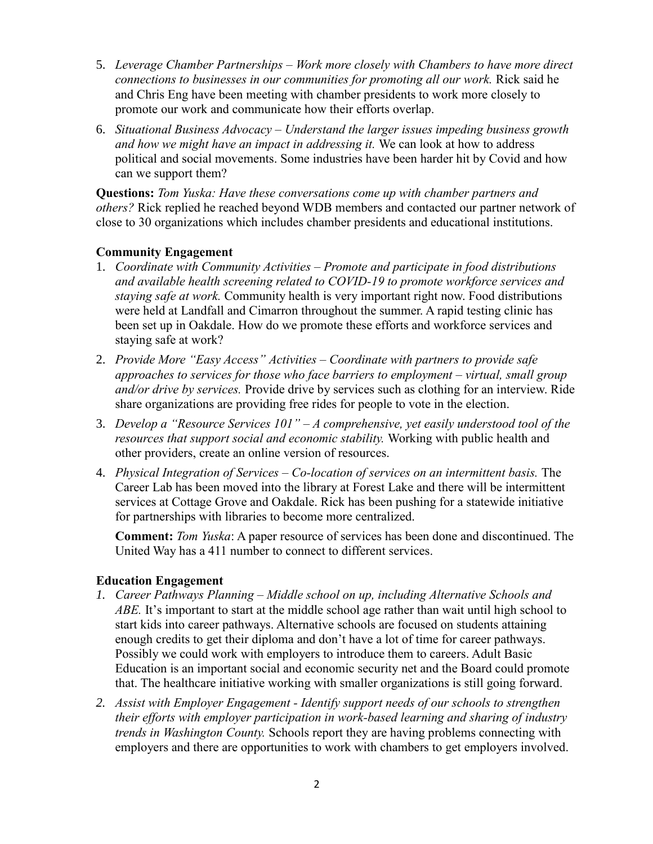- 5. *Leverage Chamber Partnerships – Work more closely with Chambers to have more direct connections to businesses in our communities for promoting all our work.* Rick said he and Chris Eng have been meeting with chamber presidents to work more closely to promote our work and communicate how their efforts overlap.
- 6. *Situational Business Advocacy – Understand the larger issues impeding business growth and how we might have an impact in addressing it.* We can look at how to address political and social movements. Some industries have been harder hit by Covid and how can we support them?

**Questions:** *Tom Yuska: Have these conversations come up with chamber partners and others?* Rick replied he reached beyond WDB members and contacted our partner network of close to 30 organizations which includes chamber presidents and educational institutions.

# **Community Engagement**

- 1. *Coordinate with Community Activities – Promote and participate in food distributions and available health screening related to COVID-19 to promote workforce services and staying safe at work.* Community health is very important right now. Food distributions were held at Landfall and Cimarron throughout the summer. A rapid testing clinic has been set up in Oakdale. How do we promote these efforts and workforce services and staying safe at work?
- 2. *Provide More "Easy Access" Activities – Coordinate with partners to provide safe approaches to services for those who face barriers to employment – virtual, small group and/or drive by services.* Provide drive by services such as clothing for an interview. Ride share organizations are providing free rides for people to vote in the election.
- 3. *Develop a "Resource Services 101" – A comprehensive, yet easily understood tool of the resources that support social and economic stability.* Working with public health and other providers, create an online version of resources.
- 4. *Physical Integration of Services – Co-location of services on an intermittent basis.* The Career Lab has been moved into the library at Forest Lake and there will be intermittent services at Cottage Grove and Oakdale. Rick has been pushing for a statewide initiative for partnerships with libraries to become more centralized.

**Comment:** *Tom Yuska*: A paper resource of services has been done and discontinued. The United Way has a 411 number to connect to different services.

# **Education Engagement**

- *1. Career Pathways Planning – Middle school on up, including Alternative Schools and ABE.* It's important to start at the middle school age rather than wait until high school to start kids into career pathways. Alternative schools are focused on students attaining enough credits to get their diploma and don't have a lot of time for career pathways. Possibly we could work with employers to introduce them to careers. Adult Basic Education is an important social and economic security net and the Board could promote that. The healthcare initiative working with smaller organizations is still going forward.
- *2. Assist with Employer Engagement - Identify support needs of our schools to strengthen their efforts with employer participation in work-based learning and sharing of industry trends in Washington County.* Schools report they are having problems connecting with employers and there are opportunities to work with chambers to get employers involved.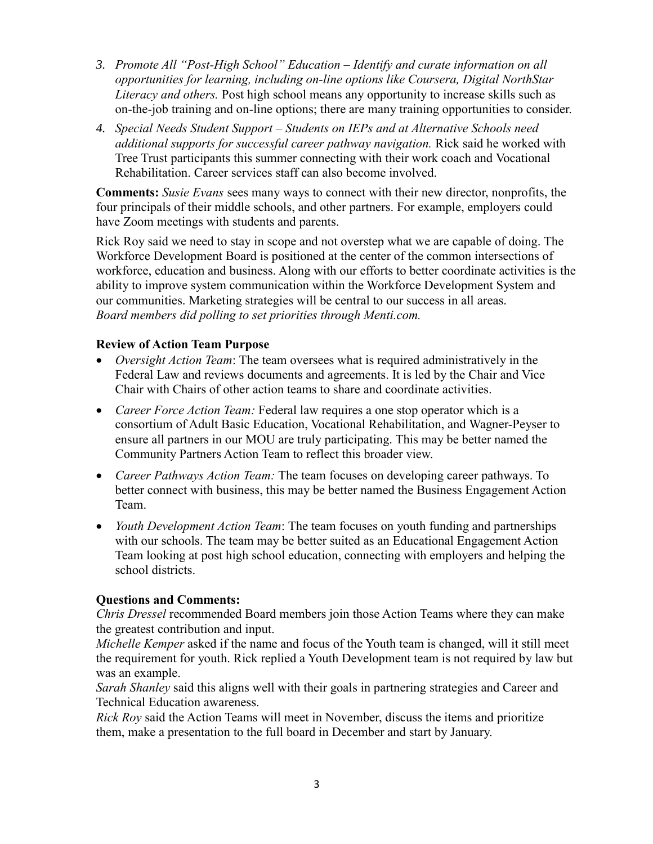- *3. Promote All "Post-High School" Education – Identify and curate information on all opportunities for learning, including on-line options like Coursera, Digital NorthStar Literacy and others.* Post high school means any opportunity to increase skills such as on-the-job training and on-line options; there are many training opportunities to consider.
- *4. Special Needs Student Support – Students on IEPs and at Alternative Schools need additional supports for successful career pathway navigation.* Rick said he worked with Tree Trust participants this summer connecting with their work coach and Vocational Rehabilitation. Career services staff can also become involved.

**Comments:** *Susie Evans* sees many ways to connect with their new director, nonprofits, the four principals of their middle schools, and other partners. For example, employers could have Zoom meetings with students and parents.

Rick Roy said we need to stay in scope and not overstep what we are capable of doing. The Workforce Development Board is positioned at the center of the common intersections of workforce, education and business. Along with our efforts to better coordinate activities is the ability to improve system communication within the Workforce Development System and our communities. Marketing strategies will be central to our success in all areas. *Board members did polling to set priorities through Menti.com.*

# **Review of Action Team Purpose**

- *Oversight Action Team*: The team oversees what is required administratively in the Federal Law and reviews documents and agreements. It is led by the Chair and Vice Chair with Chairs of other action teams to share and coordinate activities.
- *Career Force Action Team:* Federal law requires a one stop operator which is a consortium of Adult Basic Education, Vocational Rehabilitation, and Wagner-Peyser to ensure all partners in our MOU are truly participating. This may be better named the Community Partners Action Team to reflect this broader view.
- *Career Pathways Action Team:* The team focuses on developing career pathways. To better connect with business, this may be better named the Business Engagement Action Team.
- *Youth Development Action Team*: The team focuses on youth funding and partnerships with our schools. The team may be better suited as an Educational Engagement Action Team looking at post high school education, connecting with employers and helping the school districts.

# **Questions and Comments:**

*Chris Dressel* recommended Board members join those Action Teams where they can make the greatest contribution and input.

*Michelle Kemper* asked if the name and focus of the Youth team is changed, will it still meet the requirement for youth. Rick replied a Youth Development team is not required by law but was an example.

*Sarah Shanley* said this aligns well with their goals in partnering strategies and Career and Technical Education awareness.

*Rick Roy* said the Action Teams will meet in November, discuss the items and prioritize them, make a presentation to the full board in December and start by January.